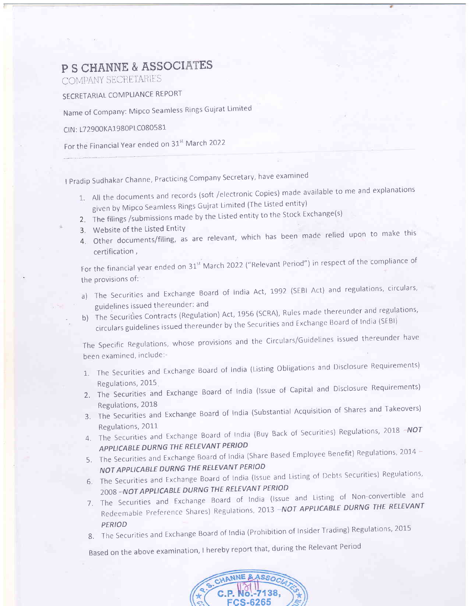## P S CHANNE & ASSOCIATES

COMPANY SECRETARIES

SECRETARIAL COMPLIANCE REPORT

Name of Company: Mipco Seamless Rings Gujrat Limited

CIN : 172900KA1980P1C080581

For the Financial Year ended on 31<sup>st</sup> March 2022

I Pradip Sudhakar Channe, Practicing Company Secretary, have examined

- 1. All the documents and records (soft /electronic Copies) made available to me and explanations given by Mipco Seamless Rings Gujrat Limited (The Listed entity)
- 2. The filings /submissions made by the Listed entity to the Stock Exchange(s)
- 3. Website of the Listed Entity
- 3. Website of the Listed Efflity<br>4. Other documents/filing, as are relevant, which has been made relied upon to make this certification,

For the financial year ended on 31 $^{\rm st}$  March 2022 ("Relevant Period") in respect of the compliance of the provisions of:

- a) The Securities and Exchange Board of India Act, 1992 (SEBI Act) and regulations, circulars, guidelines issued thereunder: and
- b) The Securities Contracts (Regulation) Act, 1956 (SCRA), Rules made thereunder and regulations, circulars guidelines issued thereunder by the Securities and Exchange Board of India (SEBI)

The Specific Regulations, whose provisions and the Circulars/Guidelines issued thereunder have been examined, include:-

- 1. The Securities and Exchange Board of India (Listing Obligations and Disclosure Requirements)
- Regulations,2015 z. The Securities and Exchange Board of India (lssue of capital and Disclosure Requirements) Regulations, 2018
- 3. The Securities and Exchange Board of India (Substantial Acquisition SharesandTakeovers) Regulations, 2011
- 4. The Securities and Exchange Board of India (Buy Back of Securities) Registers APPLICABLE DIJRNG THE RELEVANT PERIOD
- 5. The Securities and Exchange Board of India (Share Based Employee Benefit) Regulations, 2014 -NOT APPLICABLE DURNG THE RELEVANT PERIOD
- 6. The Securities and Exchange Board of India (Issue and Listing of Debts Securities) Regulations, 2008 -NOT APPLICABLE DURNG THE RELEVANT PERIOD
- 7. The Securities and Exchange Board of India (lssue and Listing of Non-convertible and Redeemable Preference Shares) Regulations, 2013 - NOT APPLICABLE DURNG THE RELEVANT PERIOD
- 8. The Securities and Exchange Board of India (Prombition of Install, National, Regulation

Based on the above examination, I hereby report that, during the Relevant Period